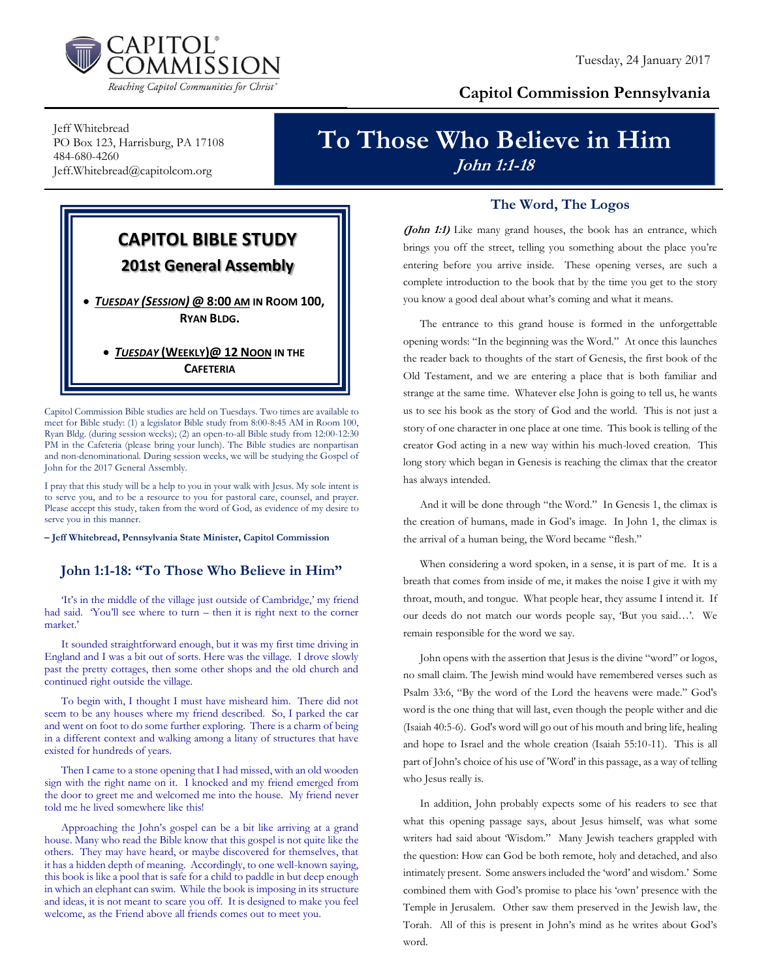

### **Capitol Commission Pennsylvania**

Jeff Whitebread PO Box 123, Harrisburg, PA 17108 484-680-4260 Jeff.Whitebread@capitolcom.org

## **To Those Who Believe in Him John 1:1-18**



Capitol Commission Bible studies are held on Tuesdays. Two times are available to meet for Bible study: (1) a legislator Bible study from 8:00-8:45 AM in Room 100, Ryan Bldg. (during session weeks); (2) an open-to-all Bible study from 12:00-12:30 PM in the Cafeteria (please bring your lunch). The Bible studies are nonpartisan and non-denominational. During session weeks, we will be studying the Gospel of John for the 2017 General Assembly.

I pray that this study will be a help to you in your walk with Jesus. My sole intent is to serve you, and to be a resource to you for pastoral care, counsel, and prayer. Please accept this study, taken from the word of God, as evidence of my desire to serve you in this manner.

**– Jeff Whitebread, Pennsylvania State Minister, Capitol Commission**

#### **John 1:1-18: "To Those Who Believe in Him"**

'It's in the middle of the village just outside of Cambridge,' my friend had said. 'You'll see where to turn – then it is right next to the corner market.'

It sounded straightforward enough, but it was my first time driving in England and I was a bit out of sorts. Here was the village. I drove slowly past the pretty cottages, then some other shops and the old church and continued right outside the village.

To begin with, I thought I must have misheard him. There did not seem to be any houses where my friend described. So, I parked the car and went on foot to do some further exploring. There is a charm of being in a different context and walking among a litany of structures that have existed for hundreds of years.

Then I came to a stone opening that I had missed, with an old wooden sign with the right name on it. I knocked and my friend emerged from the door to greet me and welcomed me into the house. My friend never told me he lived somewhere like this!

Approaching the John's gospel can be a bit like arriving at a grand house. Many who read the Bible know that this gospel is not quite like the others. They may have heard, or maybe discovered for themselves, that it has a hidden depth of meaning. Accordingly, to one well-known saying, this book is like a pool that is safe for a child to paddle in but deep enough in which an elephant can swim. While the book is imposing in its structure and ideas, it is not meant to scare you off. It is designed to make you feel welcome, as the Friend above all friends comes out to meet you.

#### **The Word, The Logos**

**(John 1:1)** Like many grand houses, the book has an entrance, which brings you off the street, telling you something about the place you're entering before you arrive inside. These opening verses, are such a complete introduction to the book that by the time you get to the story you know a good deal about what's coming and what it means.

The entrance to this grand house is formed in the unforgettable opening words: "In the beginning was the Word." At once this launches the reader back to thoughts of the start of Genesis, the first book of the Old Testament, and we are entering a place that is both familiar and strange at the same time. Whatever else John is going to tell us, he wants us to see his book as the story of God and the world. This is not just a story of one character in one place at one time. This book is telling of the creator God acting in a new way within his much-loved creation. This long story which began in Genesis is reaching the climax that the creator has always intended.

And it will be done through "the Word." In Genesis 1, the climax is the creation of humans, made in God's image. In John 1, the climax is the arrival of a human being, the Word became "flesh."

When considering a word spoken, in a sense, it is part of me. It is a breath that comes from inside of me, it makes the noise I give it with my throat, mouth, and tongue. What people hear, they assume I intend it. If our deeds do not match our words people say, 'But you said…'. We remain responsible for the word we say.

John opens with the assertion that Jesus is the divine "word" or logos, no small claim. The Jewish mind would have remembered verses such as Psalm 33:6, "By the word of the Lord the heavens were made." God's word is the one thing that will last, even though the people wither and die (Isaiah 40:5-6). God's word will go out of his mouth and bring life, healing and hope to Israel and the whole creation (Isaiah 55:10-11). This is all part of John's choice of his use of 'Word' in this passage, as a way of telling who Jesus really is.

In addition, John probably expects some of his readers to see that what this opening passage says, about Jesus himself, was what some writers had said about 'Wisdom." Many Jewish teachers grappled with the question: How can God be both remote, holy and detached, and also intimately present. Some answers included the 'word' and wisdom.' Some combined them with God's promise to place his 'own' presence with the Temple in Jerusalem. Other saw them preserved in the Jewish law, the Torah. All of this is present in John's mind as he writes about God's word.